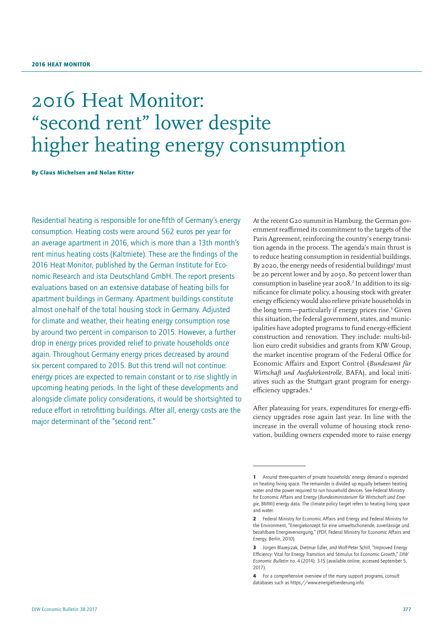# 2016 Heat Monitor: "second rent" lower despite higher heating energy consumption

By Claus Michelsen and Nolan Ritter

Residential heating is responsible for one-fifth of Germany's energy consumption. Heating costs were around 562 euros per year for an average apartment in 2016, which is more than a 13th month's rent minus heating costs (Kaltmiete). These are the findings of the 2016 Heat Monitor, published by the German Institute for Economic Research and ista Deutschland GmbH. The report presents evaluations based on an extensive database of heating bills for apartment buildings in Germany. Apartment buildings constitute almost one-half of the total housing stock in Germany. Adjusted for climate and weather, their heating energy consumption rose by around two percent in comparison to 2015. However, a further drop in energy prices provided relief to private households once again. Throughout Germany energy prices decreased by around six percent compared to 2015. But this trend will not continue: energy prices are expected to remain constant or to rise slightly in upcoming heating periods. In the light of these developments and alongside climate policy considerations, it would be shortsighted to reduce effort in retrofitting buildings. After all, energy costs are the major determinant of the "second rent."

At the recent G20 summit in Hamburg, the German government reaffirmed its commitment to the targets of the Paris Agreement, reinforcing the country's energy transition agenda in the process. The agenda's main thrust is to reduce heating consumption in residential buildings. By 2020, the energy needs of residential buildings<sup>1</sup> must be 20 percent lower and by 2050, 80 percent lower than consumption in baseline year 2008.<sup>2</sup> In addition to its significance for climate policy, a housing stock with greater energy efficiency would also relieve private households in the long term—particularly if energy prices rise.<sup>3</sup> Given this situation, the federal government, states, and municipalities have adopted programs to fund energy-efficient construction and renovation. They include: multi-billion euro credit subsidies and grants from KfW Group, the market incentive program of the Federal Office for Economic Affairs and Export Control (*Bundesamt für Wirtschaft und Ausfuhrkontrolle*, BAFA), and local initiatives such as the Stuttgart grant program for energyefficiency upgrades.<sup>4</sup>

After plateauing for years, expenditures for energy-efficiency upgrades rose again last year. In line with the increase in the overall volume of housing stock renovation, building owners expended more to raise energy

<sup>1</sup> Around three-quarters of private households' energy demand is expended on heating living space. The remainder is divided up equally between heating water and the power required to run household devices. See Federal Ministry for Economic Affairs and Energy (*Bundesministerium für Wirtschaft und Energie*, BMWi) energy data. The climate policy target refers to heating living space and water.

<sup>2</sup> Federal Ministry for Economic Affairs and Energy and Federal Ministry for the Environment, "Energiekonzept für eine umweltschonende, zuverlässige und bezahlbare Energieversorgung," (PDF, Federal Ministry for Economic Affairs and Energy, Berlin, 2010).

<sup>3</sup> Jürgen Blazeiczak, Dietmar Edler, and Wolf-Peter Schill, "Improved Energy Efficiency: Vital for Energy Transition and Stimulus for Economic Growth," *DIW Economic Bulletin* no. 4 (2014): 3-15 [\(available online](https://www.diw.de/documents/publikationen/73/diw_01.c.442762.de/diw_econ_bull_2014-04-1.pdf), accessed September 5, 2017).

<sup>4</sup> For a comprehensive overview of the many support programs, consult databases such as [https://www.energiefoerderung.info.](https://www.energiefoerderung.info)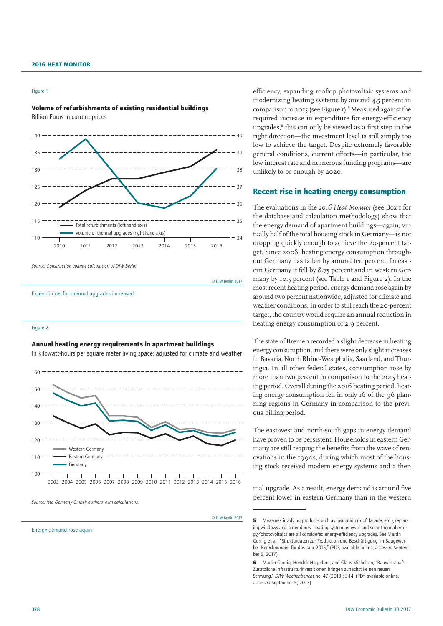#### Figure 1

Volume of refurbishments of existing residential buildings Billion Euros in current prices



*Source: Construction volume calculation of DIW Berlin.*

© DIW Berlin 2017

Expenditures for thermal upgrades increased

#### Figure 2

### Annual heating energy requirements in apartment buildings

In kilowatt-hours per square meter living space; adjusted for climate and weather



*Source: ista Germany GmbH; authors' own calculations.*

© DIW Berlin 2017

Energy demand rose again

efficiency, expanding rooftop photovoltaic systems and modernizing heating systems by around 4.5 percent in comparison to 2015 (see Figure  $I$ ).<sup>5</sup> Measured against the required increase in expenditure for energy-efficiency upgrades,<sup>6</sup> this can only be viewed as a first step in the right direction—the investment level is still simply too low to achieve the target. Despite extremely favorable general conditions, current efforts—in particular, the low interest rate and numerous funding programs—are unlikely to be enough by 2020.

### Recent rise in heating energy consumption

The evaluations in the *2016 Heat Monitor* (see Box 1 for the database and calculation methodology) show that the energy demand of apartment buildings—again, virtually half of the total housing stock in Germany—is not dropping quickly enough to achieve the 20-percent target. Since 2008, heating energy consumption throughout Germany has fallen by around ten percent. In eastern Germany it fell by 8.75 percent and in western Germany by 10.5 percent (see Table 1 and Figure 2). In the most recent heating period, energy demand rose again by around two percent nationwide, adjusted for climate and weather conditions. In order to still reach the 20-percent target, the country would require an annual reduction in heating energy consumption of 2.0 percent.

The state of Bremen recorded a slight decrease in heating energy consumption, and there were only slight increases in Bavaria, North Rhine-Westphalia, Saarland, and Thuringia. In all other federal states, consumption rose by more than two percent in comparison to the 2015 heating period. Overall during the 2016 heating period, heating energy consumption fell in only 16 of the 96 planning regions in Germany in comparison to the previous billing period.

The east-west and north-south gaps in energy demand have proven to be persistent. Households in eastern Germany are still reaping the benefits from the wave of renovations in the 1990s, during which most of the housing stock received modern energy systems and a ther-

mal upgrade. As a result, energy demand is around five percent lower in eastern Germany than in the western

<sup>5</sup> Measures involving products such as insulation (roof, facade, etc.), replacing windows and outer doors, heating system renewal and solar thermal en-ergy/photovoltaics are all considered energy-efficiency upgrades. See Martin Gornig et al., "Strukturdaten zur Produktion und Beschäftigung im Baugewerbe—Berechnungen für das Jahr 2015," (PDF, [available online](https://www.bmub.bund.de/fileadmin/Daten_BMU/Download_PDF/Bauwirtschaft/strukturdaten_bau_studie_bf.pdf), accessed September 5, 2017).

<sup>6</sup> Martin Gornig, Hendrik Hagedorn, and Claus Michelsen, "Bauwirtschaft: Zusätzliche Infrastrukturinvestitionen bringen zunächst keinen neuen Schwung," *DIW Wochenbericht* no. 47 (2013): 3-14. (PDf, [available online](https://www.diw.de/documents/publikationen/73/diw_01.c.431923.de/13-47-1.pdf), accessed September 5, 2017)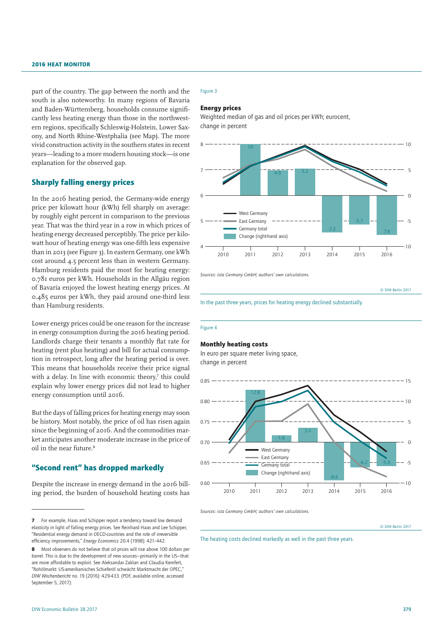part of the country. The gap between the north and the south is also noteworthy. In many regions of Bavaria and Baden-Württemberg, households consume significantly less heating energy than those in the northwestern regions, specifically Schleswig-Holstein, Lower Saxony, and North Rhine-Westphalia (see Map). The more vivid construction activity in the southern states in recent years—leading to a more modern housing stock—is one explanation for the observed gap.

### Sharply falling energy prices

In the 2016 heating period, the Germany-wide energy price per kilowatt hour (kWh) fell sharply on average: by roughly eight percent in comparison to the previous year. That was the third year in a row in which prices of heating energy decreased perceptibly. The price per kilowatt hour of heating energy was one-fifth less expensive than in 2013 (see Figure 3). In eastern Germany, one kWh cost around 4.5 percent less than in western Germany. Hamburg residents paid the most for heating energy: 0.781 euros per kWh. Households in the Allgäu region of Bavaria enjoyed the lowest heating energy prices. At 0.485 euros per kWh, they paid around one-third less than Hamburg residents.

Lower energy prices could be one reason for the increase in energy consumption during the 2016 heating period. Landlords charge their tenants a monthly flat rate for heating (rent plus heating) and bill for actual consumption in retrospect, long after the heating period is over. This means that households receive their price signal with a delay. In line with economic theory,<sup>7</sup> this could explain why lower energy prices did not lead to higher energy consumption until 2016.

But the days of falling prices for heating energy may soon be history. Most notably, the price of oil has risen again since the beginning of 2016. And the commodities market anticipates another moderate increase in the price of oil in the near future.8

### "Second rent" has dropped markedly

Despite the increase in energy demand in the 2016 billing period, the burden of household heating costs has

### Figure 3

#### Energy prices

Weighted median of gas and oil prices per kWh; eurocent, change in percent



*Sources: ista Germany GmbH; authors' own calculations.*

© DIW Berlin 2017



#### Figure 4

### Monthly heating costs

In euro per square meter living space, change in percent



*Sources: ista Germany GmbH; authors' own calculations.*

© DIW Berlin 2017

The heating costs declined markedly as well in the past three years.

<sup>7</sup> For example, Haas and Schipper report a tendency toward low demand elasticity in light of falling energy prices. See Reinhard Haas and Lee Schipper, "Residential energy demand in OECD-countries and the role of irreversible efficiency improvements," *Energy Economics* 20.4 (1998): 421–442.

<sup>8</sup> Most observers do not believe that oil prices will rise above 100 dollars per barrel. This is due to the development of new sources—primarily in the US—that are more affordable to exploit. See Aleksandar Zaklan and Claudia Kemfert, "Rohölmarkt: US-amerikanisches Schieferöl schwächt Marktmacht der OPEC," *DIW Wochenbericht* no. 19 (2016): 429-433. (PDF, [available online,](http://www.diw.de/documents/publikationen/73/diw_01.c.533486.de/16-19-3.pdf) accessed September 5, 2017).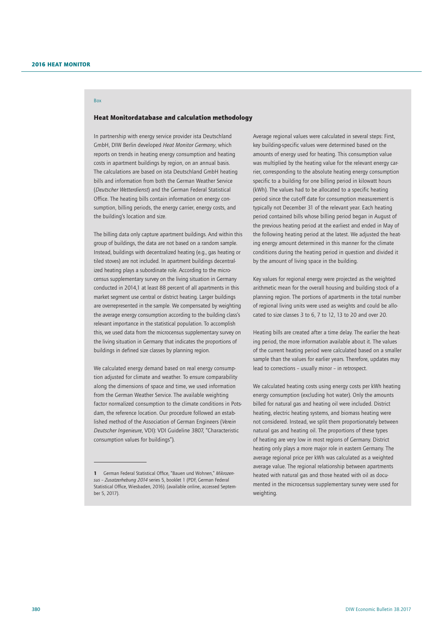## Box

### Heat Monitordatabase and calculation methodology

In partnership with energy service provider ista Deutschland GmbH, DIW Berlin developed *Heat Monitor Germany*, which reports on trends in heating energy consumption and heating costs in apartment buildings by region, on an annual basis. The calculations are based on ista Deutschland GmbH heating bills and information from both the German Weather Service (*Deutscher Wetterdienst*) and the German Federal Statistical Office. The heating bills contain information on energy consumption, billing periods, the energy carrier, energy costs, and the building's location and size.

The billing data only capture apartment buildings. And within this group of buildings, the data are not based on a random sample. Instead, buildings with decentralized heating (e.g., gas heating or tiled stoves) are not included. In apartment buildings decentralized heating plays a subordinate role. According to the microcensus supplementary survey on the living situation in Germany conducted in 2014,1 at least 88 percent of all apartments in this market segment use central or district heating. Larger buildings are overrepresented in the sample. We compensated by weighting the average energy consumption according to the building class's relevant importance in the statistical population. To accomplish this, we used data from the microcensus supplementary survey on the living situation in Germany that indicates the proportions of buildings in defined size classes by planning region.

We calculated energy demand based on real energy consumption adjusted for climate and weather. To ensure comparability along the dimensions of space and time, we used information from the German Weather Service. The available weighting factor normalized consumption to the climate conditions in Potsdam, the reference location. Our procedure followed an established method of the Association of German Engineers (*Verein Deutscher Ingenieure*, VDI): VDI Guideline 3807, "Characteristic consumption values for buildings").

Average regional values were calculated in several steps: First, key building-specific values were determined based on the amounts of energy used for heating. This consumption value was multiplied by the heating value for the relevant energy carrier, corresponding to the absolute heating energy consumption specific to a building for one billing period in kilowatt hours (kWh). The values had to be allocated to a specific heating period since the cut-off date for consumption measurement is typically not December 31 of the relevant year. Each heating period contained bills whose billing period began in August of the previous heating period at the earliest and ended in May of the following heating period at the latest. We adjusted the heating energy amount determined in this manner for the climate conditions during the heating period in question and divided it by the amount of living space in the building.

Key values for regional energy were projected as the weighted arithmetic mean for the overall housing and building stock of a planning region. The portions of apartments in the total number of regional living units were used as weights and could be allocated to size classes 3 to 6, 7 to 12, 13 to 20 and over 20.

Heating bills are created after a time delay. The earlier the heating period, the more information available about it. The values of the current heating period were calculated based on a smaller sample than the values for earlier years. Therefore, updates may lead to corrections – usually minor – in retrospect.

We calculated heating costs using energy costs per kWh heating energy consumption (excluding hot water). Only the amounts billed for natural gas and heating oil were included. District heating, electric heating systems, and biomass heating were not considered. Instead, we split them proportionately between natural gas and heating oil. The proportions of these types of heating are very low in most regions of Germany. District heating only plays a more major role in eastern Germany. The average regional price per kWh was calculated as a weighted average value. The regional relationship between apartments heated with natural gas and those heated with oil as documented in the microcensus supplementary survey were used for weighting

<sup>1</sup> German Federal Statistical Office, "Bauen und Wohnen," *Mikrozensus – Zusatzerhebung 2014* series 5, booklet 1 (PDF, German Federal Statistical Office, Wiesbaden, 2016). [\(available online](https://www.destatis.de/DE/Publikationen/Thematisch/EinkommenKonsumLebensbedingungen/Wohnen/WohnsituationHaushalte2055001149004.pdf?__blob=publicationFile), accessed September 5, 2017).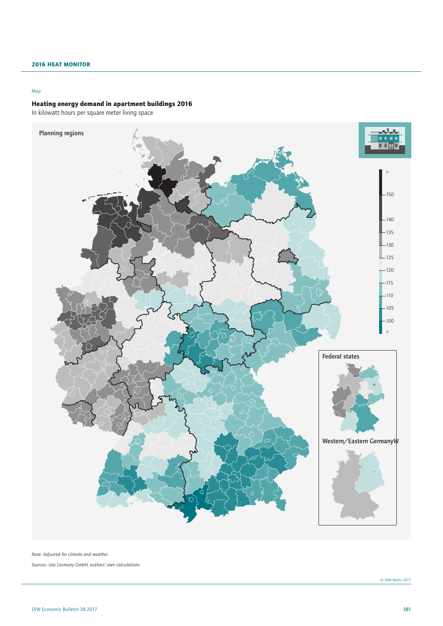### Map

### Heating energy demand in apartment buildings 2016

In kilowatt hours per square meter living space



*Note: Adjusted for climate and weather. Sources: ista Germany GmbH; authors' own calculations.*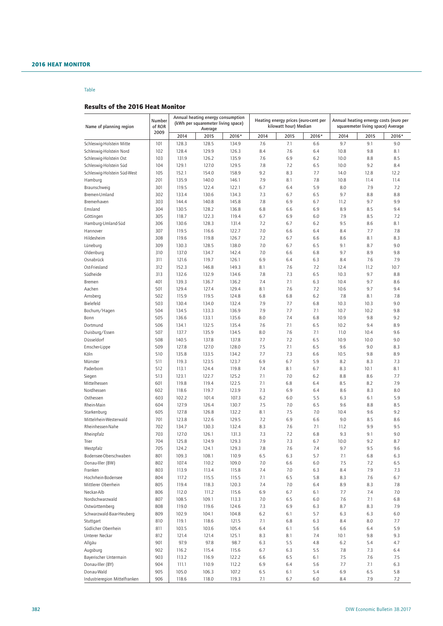### Table

### Results of the 2016 Heat Monitor

| Name of planning region                           | Number<br>of ROR<br>2009 | Annual heating energy consumption<br>(kWh per squaremeter living space) |                |                |                                                               |            |            | Annual heating ernergy costs (euro per |            |            |  |
|---------------------------------------------------|--------------------------|-------------------------------------------------------------------------|----------------|----------------|---------------------------------------------------------------|------------|------------|----------------------------------------|------------|------------|--|
|                                                   |                          |                                                                         |                |                | Heating energy prices (euro-cent per<br>kilowatt hour) Median |            |            | squaremeter living space) Average      |            |            |  |
|                                                   |                          | 2014                                                                    | Average        |                | 2014                                                          |            | 2016*      | 2014                                   | 2015       | 2016*      |  |
|                                                   |                          |                                                                         | 2015           | 2016*          |                                                               | 2015       |            |                                        |            |            |  |
| Schleswig-Holstein Mitte                          | 101<br>102               | 128.3<br>128.4                                                          | 128.5<br>129.9 | 134.9          | 7.6                                                           | 7.1        | 6.6        | 9.7                                    | 9.1<br>9.8 | 9.0<br>8.1 |  |
| Schleswig-Holstein Nord<br>Schleswig-Holstein Ost | 103                      | 131.9                                                                   | 126.2          | 126.3<br>135.9 | 8.4<br>7.6                                                    | 7.6<br>6.9 | 6.4<br>6.2 | 10.8<br>10.0                           | 8.8        | 8.5        |  |
| Schleswig-Holstein Süd                            | 104                      | 129.1                                                                   | 127.0          | 129.5          | 7.8                                                           | 7.2        | 6.5        | 10.0                                   | 9.2        | 8.4        |  |
| Schleswig-Holstein Süd-West                       | 105                      | 152.1                                                                   | 154.0          | 158.9          | 9.2                                                           | 8.3        | 7.7        | 14.0                                   | 12.8       | 12.2       |  |
| Hamburg                                           | 201                      | 135.9                                                                   | 140.0          | 146.1          | 7.9                                                           | 8.1        | 7.8        | 10.8                                   | 11.4       | 11.4       |  |
| Braunschweig                                      | 301                      | 119.5                                                                   | 122.4          | 122.1          | 6.7                                                           | 6.4        | 5.9        | 8.0                                    | 7.9        | 7.2        |  |
| Bremen-Umland                                     | 302                      | 133.4                                                                   | 130.6          | 134.3          | 7.3                                                           | 6.7        | 6.5        | 9.7                                    | 8.8        | 8.8        |  |
| Bremerhaven                                       | 303                      | 144.4                                                                   | 140.8          | 145.8          | 7.8                                                           | 6.9        | 6.7        | 11.2                                   | 9.7        | 9.9        |  |
| Emsland                                           | 304                      | 130.5                                                                   | 128.2          | 136.8          | 6.8                                                           | 6.6        | 6.9        | 8.9                                    | 8.5        | 9.4        |  |
| Göttingen                                         | 305                      | 118.7                                                                   | 122.3          | 119.4          | 6.7                                                           | 6.9        | 6.0        | 7.9                                    | 8.5        | 7.2        |  |
| Hamburg-Umland-Süd                                | 306                      | 130.6                                                                   | 128.3          | 131.4          | 7.2                                                           | 6.7        | 6.2        | 9.5                                    | 8.6        | 8.1        |  |
| Hannover                                          | 307                      | 119.5                                                                   | 116.6          | 122.7          | 7.0                                                           | 6.6        | 6.4        | 8.4                                    | 7.7        | 7.8        |  |
| Hildesheim                                        | 308                      | 119.6                                                                   | 119.8          | 126.7          | 7.2                                                           | 6.7        | 6.6        | 8.6                                    | 8.1        | 8.3        |  |
| Lüneburg                                          | 309                      | 130.3                                                                   | 128.5          | 138.0          | 7.0                                                           | 6.7        | 6.5        | 9.1                                    | 8.7        | 9.0        |  |
| Oldenburg                                         | 310                      | 137.0                                                                   | 134.7          | 142.4          | 7.0                                                           | 6.6        | 6.8        | 9.7                                    | 8.9        | 9.8        |  |
| Osnabrück                                         | 311                      | 121.6                                                                   | 119.7          | 126.1          | 6.9                                                           | 6.4        | 6.3        | 8.4                                    | 7.6        | 7.9        |  |
| Ost-Friesland                                     | 312                      | 152.3                                                                   | 146.8          | 149.3          | 8.1                                                           | 7.6        | 7.2        | 12.4                                   | 11.2       | 10.7       |  |
| Südheide                                          | 313                      | 132.6                                                                   | 132.9          | 134.6          | 7.8                                                           | 7.3        | 6.5        | 10.3                                   | 9.7        | 8.8        |  |
| Bremen                                            | 401                      | 139.3                                                                   | 136.7          | 136.2          | 7.4                                                           | 7.1        | 6.3        | 10.4                                   | 9.7        | 8.6        |  |
|                                                   | 501                      | 129.4                                                                   | 127.4          | 129.4          | 8.1                                                           | 7.6        | 7.2        | 10.6                                   | 9.7        | 9.4        |  |
| Aachen                                            | 502                      | 115.9                                                                   | 119.5          | 124.8          | 6.8                                                           | 6.8        | 6.2        | 7.8                                    | 8.1        | 7.8        |  |
| Arnsberg<br>Bielefeld                             | 503                      | 130.4                                                                   | 134.0          | 132.4          | 7.9                                                           |            | 6.8        | 10.3                                   | 10.3       | 9.0        |  |
|                                                   | 504                      | 134.5                                                                   |                | 136.9          | 7.9                                                           | 7.7<br>7.7 | 7.1        | 10.7                                   | 10.2       | 9.8        |  |
| Bochum/Hagen                                      | 505                      | 136.6                                                                   | 133.3          | 135.6          | 8.0                                                           | 7.4        | 6.8        | 10.9                                   | 9.8        | 9.2        |  |
| Bonn<br>Dortmund                                  | 506                      | 134.1                                                                   | 133.1<br>132.5 | 135.4          | 7.6                                                           | 7.1        | 6.5        | 10.2                                   | 9.4        | 8.9        |  |
| Duisburg/Essen                                    | 507                      | 137.7                                                                   | 135.9          | 134.5          | 8.0                                                           | 7.6        | 7.1        | 11.0                                   | 10.4       | 9.6        |  |
| Düsseldorf                                        | 508                      | 140.5                                                                   | 137.8          | 137.8          | 7.7                                                           | 7.2        | 6.5        | 10.9                                   | 10.0       | 9.0        |  |
| Emscher-Lippe                                     | 509                      | 127.8                                                                   | 127.0          | 128.0          | 7.5                                                           | 7.1        | 6.5        | 9.6                                    | 9.0        | 8.3        |  |
| Köln                                              | 510                      | 135.8                                                                   | 133.5          | 134.2          | 7.7                                                           | 7.3        | 6.6        | 10.5                                   | 9.8        | 8.9        |  |
| Münster                                           | 511                      | 119.3                                                                   | 123.5          | 123.7          | 6.9                                                           | 6.7        | 5.9        | 8.2                                    | 8.3        | 7.3        |  |
| Paderborn                                         | 512                      | 113.1                                                                   | 124.4          | 119.8          | 7.4                                                           | 8.1        | 6.7        | 8.3                                    | 10.1       | 8.1        |  |
| Siegen                                            | 513                      | 123.1                                                                   | 122.7          | 125.2          | 7.1                                                           | 7.0        | 6.2        | 8.8                                    | 8.6        | 7.7        |  |
| Mittelhessen                                      | 601                      | 119.8                                                                   | 119.4          | 122.5          | 7.1                                                           | 6.8        | 6.4        | 8.5                                    | 8.2        | 7.9        |  |
| Nordhessen                                        | 602                      | 118.6                                                                   | 119.7          | 123.9          | 7.3                                                           | 6.9        | 6.4        | 8.6                                    | 8.3        | 8.0        |  |
| Osthessen                                         | 603                      | 102.2                                                                   | 101.4          | 107.3          | 6.2                                                           | 6.0        | 5.5        | 6.3                                    | 6.1        | 5.9        |  |
| Rhein-Main                                        | 604                      | 127.9                                                                   | 126.4          | 130.7          | 7.5                                                           | 7.0        | 6.5        | 9.6                                    | 8.8        | 8.5        |  |
| Starkenburg                                       | 605                      | 127.8                                                                   | 126.8          | 132.2          | 8.1                                                           | 7.5        | 7.0        | 10.4                                   | 9.6        | 9.2        |  |
| Mittelrhein-Westerwald                            | 701                      | 123.8                                                                   | 122.6          | 129.5          | 7.2                                                           | 6.9        | 6.6        | 9.0                                    | 8.5        | 8.6        |  |
| Rheinhessen-Nahe                                  | 702                      | 134.7                                                                   | 130.3          | 132.4          | 8.3                                                           | 7.6        | 7.1        | 11.2                                   | 9.9        | 9.5        |  |
| Rheinpfalz                                        | 703                      | 127.0                                                                   | 126.1          | 131.3          | 7.3                                                           | 7.2        | 6.8        | 9.3                                    | 9.1        | 9.0        |  |
| Trier                                             | 704                      | 125.8                                                                   | 124.9          | 129.3          | 7.9                                                           | 7.3        | 6.7        | 10.0                                   | 9.2        | 8.7        |  |
| Westpfalz                                         | 705                      | 124.2                                                                   | 124.1          | 129.3          | 7.8                                                           | 7.6        | 7.4        | 9.7                                    | 9.5        | 9.6        |  |
| Bodensee-Oberschwaben                             | 801                      | 109.3                                                                   | 108.1          | 110.9          | 6.5                                                           | 6.3        | 5.7        | 7.1                                    | 6.8        | 6.3        |  |
| Donau-Iller (BW)                                  | 802                      | 107.4                                                                   | 110.2          | 109.0          | 7.0                                                           | 6.6        | 6.0        | 7.5                                    | 7.2        | 6.5        |  |
| Franken                                           | 803                      | 113.9                                                                   | 113.4          | 115.8          | 7.4                                                           | 7.0        | 6.3        | 8.4                                    | 7.9        | 7.3        |  |
| Hochrhein-Bodensee                                | 804                      | 117.2                                                                   | 115.5          | 115.5          | 7.1                                                           | 6.5        | 5.8        | 8.3                                    | 7.6        | 6.7        |  |
| Mittlerer Oberrhein                               | 805                      | 119.4                                                                   | 118.3          | 120.3          | 7.4                                                           | 7.0        | 6.4        | 8.9                                    | 8.3        | 7.8        |  |
| Neckar-Alb                                        | 806                      | 112.0                                                                   | 111.2          | 115.6          | 6.9                                                           | 6.7        | 6.1        | 7.7                                    | 7.4        | 7.0        |  |
| Nordschwarzwald                                   | 807                      | 108.5                                                                   | 109.1          | 113.3          | 7.0                                                           | 6.5        | 6.0        | 7.6                                    | 7.1        | 6.8        |  |
| Ostwürttemberg                                    | 808                      | 119.0                                                                   | 119.6          | 124.6          | 7.3                                                           | 6.9        | 6.3        | 8.7                                    | 8.3        | 7.9        |  |
| Schwarzwald-Baar-Heuberg                          | 809                      | 102.9                                                                   | 104.1          | 104.8          | 6.2                                                           | 6.1        | 5.7        | 6.3                                    | 6.3        | 6.0        |  |
| Stuttgart                                         | 810                      | 119.1                                                                   | 118.6          | 121.5          | 7.1                                                           | 6.8        | 6.3        | 8.4                                    | 8.0        | 7.7        |  |
| Südlicher Oberrhein                               | 811                      | 103.5                                                                   | 103.6          | 105.4          | 6.4                                                           | 6.1        | 5.6        | 6.6                                    | 6.4        | 5.9        |  |
| Unterer Neckar                                    | 812                      | 121.4                                                                   | 121.4          | 125.1          | 8.3                                                           | 8.1        | 7.4        | 10.1                                   | 9.8        | 9.3        |  |
| Allgäu                                            | 901                      | 97.9                                                                    | 97.8           | 98.7           | 6.3                                                           | 5.5        | 4.8        | 6.2                                    | 5.4        | 4.7        |  |
| Augsburg                                          | 902                      | 116.2                                                                   | 115.4          | 115.6          | 6.7                                                           | 6.3        | 5.5        | 7.8                                    | 7.3        | 6.4        |  |
| Bayerischer Untermain                             | 903                      | 113.2                                                                   | 116.9          | 122.2          | 6.6                                                           | 6.5        | 6.1        | 7.5                                    | 7.6        | 7.5        |  |
| Donau-Iller (BY)                                  | 904                      | 111.1                                                                   | 110.9          | 112.2          | 6.9                                                           | 6.4        | 5.6        | 7.7                                    | 7.1        | 6.3        |  |
| Donau-Wald                                        | 905                      | 105.0                                                                   | 106.3          | 107.2          | 6.5                                                           | 6.1        | 5.4        | 6.9                                    | 6.5        | 5.8        |  |
| Industrieregion Mittelfranken                     | 906                      | 118.6                                                                   | 118.0          | 119.3          | 7.1                                                           | 6.7        | 6.0        | 8.4                                    | 7.9        | 7.2        |  |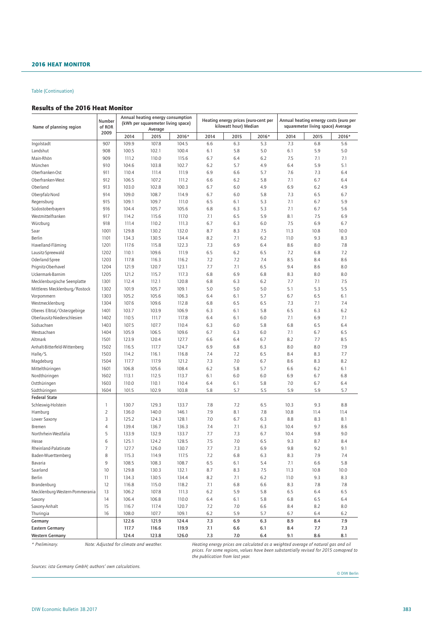### Results of the 2016 Heat Monitor

| Name of planning region        | Number<br>of ROR<br>2009 | Annual heating energy consumption<br>(kWh per squaremeter living space)<br>Average |       |       |      | Heating energy prices (euro-cent per<br>kilowatt hour) Median |       | Annual heating ernergy costs (euro per<br>squaremeter living space) Average |      |       |
|--------------------------------|--------------------------|------------------------------------------------------------------------------------|-------|-------|------|---------------------------------------------------------------|-------|-----------------------------------------------------------------------------|------|-------|
|                                |                          | 2014                                                                               | 2015  | 2016* | 2014 | 2015                                                          | 2016* | 2014                                                                        | 2015 | 2016* |
| Ingolstadt                     | 907                      | 109.9                                                                              | 107.8 | 104.5 | 6.6  | 6.3                                                           | 5.3   | 7.3                                                                         | 6.8  | 5.6   |
| Landshut                       | 908                      | 100.5                                                                              | 102.1 | 100.4 | 6.1  | 5.8                                                           | 5.0   | 6.1                                                                         | 5.9  | 5.0   |
| Main-Rhön                      | 909                      | 111.2                                                                              | 110.0 | 115.6 | 6.7  | 6.4                                                           | 6.2   | 7.5                                                                         | 7.1  | 7.1   |
| München                        | 910                      | 104.6                                                                              | 103.8 | 102.7 | 6.2  | 5.7                                                           | 4.9   | 6.4                                                                         | 5.9  | 5.1   |
| Oberfranken-Ost                | 911                      | 110.4                                                                              | 111.4 | 111.9 | 6.9  | 6.6                                                           | 5.7   | 7.6                                                                         | 7.3  | 6.4   |
| Oberfranken-West               | 912                      | 106.5                                                                              | 107.2 | 111.2 | 6.6  | 6.2                                                           | 5.8   | 7.1                                                                         | 6.7  | 6.4   |
| Oberland                       | 913                      | 103.0                                                                              | 102.8 | 100.3 | 6.7  | 6.0                                                           | 4.9   | 6.9                                                                         | 6.2  | 4.9   |
| Oberpfalz-Nord                 | 914                      | 109.0                                                                              | 108.7 | 114.9 | 6.7  | 6.0                                                           | 5.8   | 7.3                                                                         | 6.5  | 6.7   |
| Regensburg                     | 915                      | 109.1                                                                              | 109.7 | 111.0 | 6.5  | 6.1                                                           | 5.3   | 7.1                                                                         | 6.7  | 5.9   |
| Südostoberbayern               | 916                      | 104.4                                                                              | 105.7 | 105.6 | 6.8  | 6.3                                                           | 5.3   | 7.1                                                                         | 6.7  | 5.6   |
| Westmittelfranken              | 917                      | 114.2                                                                              | 115.6 | 117.0 | 7.1  | 6.5                                                           | 5.9   | 8.1                                                                         | 7.5  | 6.9   |
| Würzburg                       | 918                      | 111.4                                                                              | 110.2 | 111.3 | 6.7  | 6.3                                                           | 6.0   | 7.5                                                                         | 6.9  | 6.7   |
| Saar                           | 1001                     | 129.8                                                                              | 130.2 | 132.0 | 8.7  | 8.3                                                           | 7.5   | 11.3                                                                        | 10.8 | 10.0  |
| Berlin                         | 1101                     | 134.3                                                                              | 130.5 | 134.4 | 8.2  | 7.1                                                           | 6.2   | 11.0                                                                        | 9.3  | 8.3   |
| Havelland-Fläming              | 1201                     | 117.6                                                                              | 115.8 | 122.3 | 7.3  | 6.9                                                           | 6.4   | 8.6                                                                         | 8.0  | 7.8   |
| Lausitz-Spreewald              | 1202                     | 110.1                                                                              | 109.6 | 111.9 | 6.5  | 6.2                                                           | 6.5   | 7.2                                                                         | 6.8  | 7.2   |
| Oderland-Spree                 | 1203                     | 117.8                                                                              | 116.3 | 116.2 | 7.2  | 7.2                                                           | 7.4   | 8.5                                                                         | 8.4  | 8.6   |
| Prignitz-Oberhavel             | 1204                     | 121.9                                                                              | 120.7 | 123.1 | 7.7  | 7.1                                                           | 6.5   | 9.4                                                                         | 8.6  | 8.0   |
| Uckermark-Barnim               | 1205                     | 121.2                                                                              | 115.7 | 117.3 | 6.8  | 6.9                                                           | 6.8   | 8.3                                                                         | 8.0  | 8.0   |
| Mecklenburgische Seenplatte    | 1301                     | 112.4                                                                              | 112.1 | 120.8 | 6.8  | 6.3                                                           | 6.2   | 7.7                                                                         | 7.1  | 7.5   |
| Mittleres Mecklenburg/Rostock  | 1302                     | 101.9                                                                              | 105.7 | 109.1 | 5.0  | 5.0                                                           | 5.0   | 5.1                                                                         | 5.3  | 5.5   |
| Vorpommern                     | 1303                     | 105.2                                                                              | 105.6 | 106.3 | 6.4  | 6.1                                                           | 5.7   | 6.7                                                                         | 6.5  | 6.1   |
| Westmecklenburg                | 1304                     | 107.6                                                                              | 109.6 | 112.8 | 6.8  | 6.5                                                           | 6.5   | 7.3                                                                         | 7.1  | 7.4   |
| Oberes Elbtal/Osterzgebirge    | 1401                     | 103.7                                                                              | 103.9 | 106.9 | 6.3  | 6.1                                                           | 5.8   | 6.5                                                                         | 6.3  | 6.2   |
| Oberlausitz-Niederschlesien    | 1402                     | 110.5                                                                              | 111.7 | 117.8 | 6.4  | 6.1                                                           | 6.0   | 7.1                                                                         | 6.9  | 7.1   |
| Südsachsen                     | 1403                     | 107.5                                                                              | 107.7 | 110.4 | 6.3  | 6.0                                                           | 5.8   | 6.8                                                                         | 6.5  | 6.4   |
| Westsachsen                    | 1404                     | 105.9                                                                              | 106.5 | 109.6 | 6.7  | 6.3                                                           | 6.0   | 7.1                                                                         | 6.7  | 6.5   |
| Altmark                        | 1501                     | 123.9                                                                              | 120.4 | 127.7 | 6.6  | 6.4                                                           | 6.7   | 8.2                                                                         | 7.7  | 8.5   |
| Anhalt-Bitterfeld-Wittenberg   | 1502                     | 116.5                                                                              | 117.7 | 124.7 | 6.9  | 6.8                                                           | 6.3   | 8.0                                                                         | 8.0  | 7.9   |
| Halle/S.                       | 1503                     | 114.2                                                                              | 116.1 | 116.8 | 7.4  | 7.2                                                           | 6.5   | 8.4                                                                         | 8.3  | 7.7   |
| Magdeburg                      | 1504                     | 117.7                                                                              | 117.9 | 121.2 | 7.3  | 7.0                                                           | 6.7   | 8.6                                                                         | 8.3  | 8.2   |
| Mittelthüringen                | 1601                     | 106.8                                                                              | 105.6 | 108.4 | 6.2  | 5.8                                                           | 5.7   | 6.6                                                                         | 6.2  | 6.1   |
| Nordthüringen                  | 1602                     | 113.1                                                                              | 112.5 | 113.7 | 6.1  | 6.0                                                           | 6.0   | 6.9                                                                         | 6.7  | 6.8   |
| Ostthüringen                   | 1603                     | 110.0                                                                              | 110.1 | 110.4 | 6.4  | 6.1                                                           | 5.8   | 7.0                                                                         | 6.7  | 6.4   |
| Südthüringen                   | 1604                     | 101.5                                                                              | 102.9 | 103.8 | 5.8  | 5.7                                                           | 5.5   | 5.9                                                                         | 5.9  | 5.7   |
| <b>Federal State</b>           |                          |                                                                                    |       |       |      |                                                               |       |                                                                             |      |       |
| Schleswig-Holstein             | 1                        | 130.7                                                                              | 129.3 | 133.7 | 7.8  | 7.2                                                           | 6.5   | 10.3                                                                        | 9.3  | 8.8   |
| Hamburg                        | 2                        | 136.0                                                                              | 140.0 | 146.1 | 7.9  | 8.1                                                           | 7.8   | 10.8                                                                        | 11.4 | 11.4  |
| Lower Saxony                   | 3                        | 125.2                                                                              | 124.3 | 128.1 | 7.0  | 6.7                                                           | 6.3   | 8.8                                                                         | 8.3  | 8.1   |
| Bremen                         | 4                        | 139.4                                                                              | 136.7 | 136.3 | 7.4  | 7.1                                                           | 6.3   | 10.4                                                                        | 9.7  | 8.6   |
| Northrhein-Westfalia           | 5                        | 133.9                                                                              | 132.9 | 133.7 | 7.7  | 7.3                                                           | 6.7   | 10.4                                                                        | 9.8  | 9.0   |
| Hesse                          | 6                        | 125.1                                                                              | 124.2 | 128.5 | 7.5  | 7.0                                                           | 6.5   | 9.3                                                                         | 8.7  | 8.4   |
| Rheinland-Palatinate           | 7                        | 127.7                                                                              | 126.0 | 130.7 | 7.7  | 7.3                                                           | 6.9   | 9.8                                                                         | 9.2  | 9.1   |
| Baden-Wuerttemberg             | 8                        | 115.3                                                                              | 114.9 | 117.5 | 7.2  | 6.8                                                           | 6.3   | 8.3                                                                         | 7.9  | 7.4   |
| Bavaria                        | 9                        | 108.5                                                                              | 108.3 | 108.7 | 6.5  | 6.1                                                           | 5.4   | 7.1                                                                         | 6.6  | 5.8   |
| Saarland                       | 10                       | 129.8                                                                              | 130.3 | 132.1 | 8.7  | 8.3                                                           | 7.5   | 11.3                                                                        | 10.8 | 10.0  |
| Berlin                         | 11                       | 134.3                                                                              | 130.5 | 134.4 | 8.2  | 7.1                                                           | 6.2   | 11.0                                                                        | 9.3  | 8.3   |
| Brandenburg                    | 12                       | 116.8                                                                              | 115.0 | 118.2 | 7.1  | 6.8                                                           | 6.6   | 8.3                                                                         | 7.8  | 7.8   |
| Mecklenburg-Western-Pommerania | 13                       | 106.2                                                                              | 107.8 | 111.3 | 6.2  | 5.9                                                           | 5.8   | 6.5                                                                         | 6.4  | 6.5   |
| Saxony                         | 14                       | 106.4                                                                              | 106.8 | 110.0 | 6.4  | 6.1                                                           | 5.8   | 6.8                                                                         | 6.5  | 6.4   |
| Saxony-Anhalt                  | 15                       | 116.7                                                                              | 117.4 | 120.7 | 7.2  | 7.0                                                           | 6.6   | 8.4                                                                         | 8.2  | 8.0   |
| Thuringia                      | 16                       | 108.0                                                                              | 107.7 | 109.1 | 6.2  | 5.9                                                           | 5.7   | 6.7                                                                         | 6.4  | 6.2   |
| Germany                        |                          | 122.6                                                                              | 121.9 | 124.4 | 7.3  | 6.9                                                           | 6.3   | 8.9                                                                         | 8.4  | 7.9   |
| <b>Eastern Germany</b>         |                          | 117.7                                                                              | 116.6 | 119.9 | 7.1  | 6.6                                                           | 6.1   | 8.4                                                                         | 7.7  | 7.3   |
| <b>Western Germany</b>         |                          | 124.4                                                                              | 123.8 | 126.0 | 7.3  | 7.0                                                           | 6.4   | 9.1                                                                         | 8.6  | 8.1   |

*\* Preliminary. Note: Adjusted for climate and weather. Heating energy prices are calculated as a weighted average of natural gas and oil prices. For some regions, values have been substantially revised for 2015 comapred to the publication from last year.*

*Sources: ista Germany GmbH; authors' own calculations.*

© DIW Berlin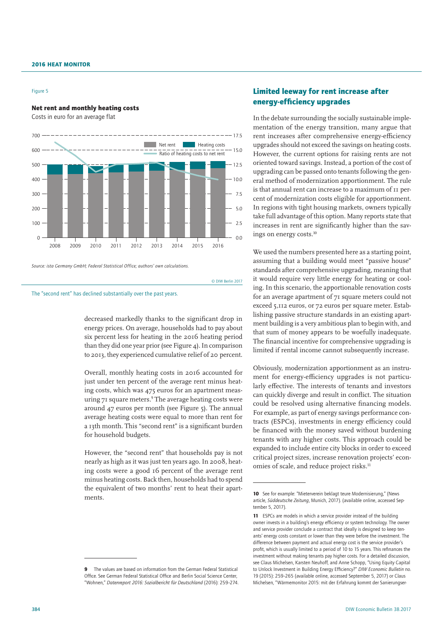#### Figure 5

### Net rent and monthly heating costs

Costs in euro for an average flat



*Source: ista Germany GmbH; Federal Statistical Office; authors' own calculations.*

© DIW Berlin 2017

The "second rent" has declined substantially over the past years.

decreased markedly thanks to the significant drop in energy prices. On average, households had to pay about six percent less for heating in the 2016 heating period than they did one year prior (see Figure 4). In comparison to 2013, they experienced cumulative relief of 20 percent.

Overall, monthly heating costs in 2016 accounted for just under ten percent of the average rent minus heating costs, which was 475 euros for an apartment measuring 71 square meters.<sup>9</sup> The average heating costs were around 47 euros per month (see Figure 5). The annual average heating costs were equal to more than rent for a 13th month. This "second rent" is a significant burden for household budgets.

However, the "second rent" that households pay is not nearly as high as it was just ten years ago. In 2008, heating costs were a good 16 percent of the average rent minus heating costs. Back then, households had to spend the equivalent of two months' rent to heat their apartments.

### Limited leeway for rent increase after energy-efficiency upgrades

In the debate surrounding the socially sustainable implementation of the energy transition, many argue that rent increases after comprehensive energy-efficiency upgrades should not exceed the savings on heating costs. However, the current options for raising rents are not oriented toward savings. Instead, a portion of the cost of upgrading can be passed onto tenants following the general method of modernization apportionment. The rule is that annual rent can increase to a maximum of 11 percent of modernization costs eligible for apportionment. In regions with tight housing markets, owners typically take full advantage of this option. Many reports state that increases in rent are significantly higher than the savings on energy costs.10

We used the numbers presented here as a starting point, assuming that a building would meet "passive house" standards after comprehensive upgrading, meaning that it would require very little energy for heating or cooling. In this scenario, the apportionable renovation costs for an average apartment of 71 square meters could not exceed 5,112 euros, or 72 euros per square meter. Establishing passive structure standards in an existing apartment building is a very ambitious plan to begin with, and that sum of money appears to be woefully inadequate. The financial incentive for comprehensive upgrading is limited if rental income cannot subsequently increase.

Obviously, modernization apportionment as an instrument for energy-efficiency upgrades is not particularly effective. The interests of tenants and investors can quickly diverge and result in conflict. The situation could be resolved using alternative financing models. For example, as part of energy savings performance contracts (ESPCs), investments in energy efficiency could be financed with the money saved without burdening tenants with any higher costs. This approach could be expanded to include entire city blocks in order to exceed critical project sizes, increase renovation projects' economies of scale, and reduce project risks.<sup>11</sup>

<sup>9</sup> The values are based on information from the German Federal Statistical Office. See German Federal Statistical Office and Berlin Social Science Center, "Wohnen," *Datenreport 2016: Sozialbericht für Deutschland* (2016): 259–274.

<sup>10</sup> See for example: "Mieterverein beklagt teure Modernisierung," (News article, *Süddeutsche Zeitung*, Munich, 2017). [\(available online,](http://www.sueddeutsche.de/geld/umlage-mieterverein-beklagt-teure-modernisierung-1.3630466) accessed September 5, 2017).

<sup>11</sup> ESPCs are models in which a service provider instead of the building owner invests in a building's energy efficiency or system technology. The owner and service provider conclude a contract that ideally is designed to keep tenants' energy costs constant or lower than they were before the investment. The difference between payment and actual energy cost is the service provider's profit, which is usually limited to a period of 10 to 15 years. This refinances the investment without making tenants pay higher costs. For a detailed discussion, see Claus Michelsen, Karsten Neuhoff, and Anne Schopp, "Using Equity Capital to Unlock Investment in Building Energy Efficiency?" *DIW Economic Bulletin* no. 19 (2015): 259–265 [\(available online,](https://www.diw.de/documents/publikationen/73/diw_01.c.503894.de/diw_econ_bull_2015-19-1.pdf) accessed September 5, 2017) or Claus Michelsen, "Wärmemonitor 2015: mit der Erfahrung kommt der Sanierungser-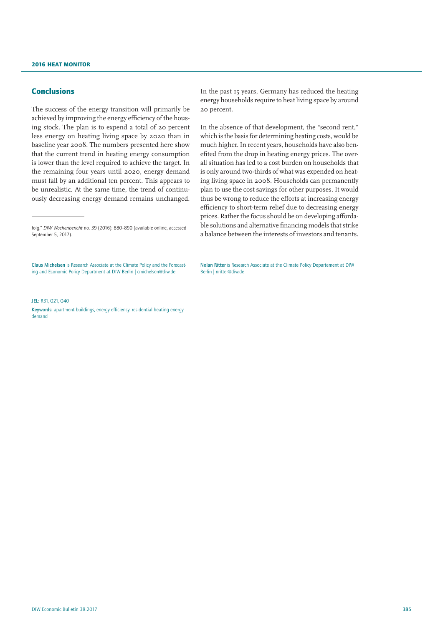### Conclusions

The success of the energy transition will primarily be achieved by improving the energy efficiency of the housing stock. The plan is to expend a total of 20 percent less energy on heating living space by 2020 than in baseline year 2008. The numbers presented here show that the current trend in heating energy consumption is lower than the level required to achieve the target. In the remaining four years until 2020, energy demand must fall by an additional ten percent. This appears to be unrealistic. At the same time, the trend of continuously decreasing energy demand remains unchanged.

Claus Michelsen is Research Associate at the Climate Policy and the Forecasting and Economic Policy Department at DIW Berlin | cmichelsen@diw.de

In the past 15 years, Germany has reduced the heating energy households require to heat living space by around 20 percent.

In the absence of that development, the "second rent," which is the basis for determining heating costs, would be much higher. In recent years, households have also benefited from the drop in heating energy prices. The overall situation has led to a cost burden on households that is only around two-thirds of what was expended on heating living space in 2008. Households can permanently plan to use the cost savings for other purposes. It would thus be wrong to reduce the efforts at increasing energy efficiency to short-term relief due to decreasing energy prices. Rather the focus should be on developing affordable solutions and alternative financing models that strike a balance between the interests of investors and tenants.

Nolan Ritter is Research Associate at the Climate Policy Departement at DIW Berlin | nritter@diw.de

#### JEL: R31, Q21, Q40

Keywords: apartment buildings, energy efficiency, residential heating energy demand

folg," *DIW Wochenbericht* no. 39 (2016): 880–890 ([available online](http://www.diw.de/documents/publikationen/73/diw_01.c.543290.de/16-39-3.pdf), accessed September 5, 2017).